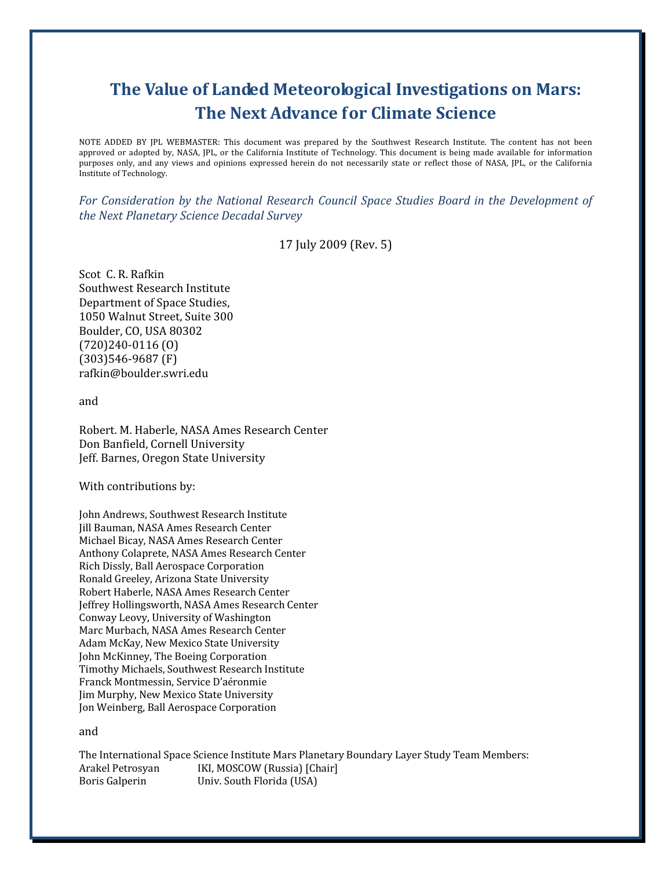# The Value of Landed Meteorological Investigations on Mars: The Next Advance for Climate Science

NOTE ADDED BY JPL WEBMASTER: This document was prepared by the Southwest Research Institute. The content has not been approved or adopted by, NASA, JPL, or the California Institute of Technology. This document is being made available for information purposes only, and any views and opinions expressed herein do not necessarily state or reflect those of NASA, JPL, or the California Institute of Technology.

For Consideration by the National Research Council Space Studies Board in the Development of the Next Planetary Science Decadal Survey

#### 17 July 2009 (Rev. 5)

Scot C. R. Rafkin Southwest Research Institute Department of Space Studies, 1050 Walnut Street, Suite 300 Boulder, CO, USA 80302 (720)240-0116 (O) (303)546-9687 (F) rafkin@boulder.swri.edu

and

Robert. M. Haberle, NASA Ames Research Center Don Banfield, Cornell University Jeff. Barnes, Oregon State University

With contributions by:

John Andrews, Southwest Research Institute Jill Bauman, NASA Ames Research Center Michael Bicay, NASA Ames Research Center Anthony Colaprete, NASA Ames Research Center Rich Dissly, Ball Aerospace Corporation Ronald Greeley, Arizona State University Robert Haberle, NASA Ames Research Center Jeffrey Hollingsworth, NASA Ames Research Center Conway Leovy, University of Washington Marc Murbach, NASA Ames Research Center Adam McKay, New Mexico State University John McKinney, The Boeing Corporation Timothy Michaels, Southwest Research Institute Franck Montmessin, Service D'aéronmie Jim Murphy, New Mexico State University Jon Weinberg, Ball Aerospace Corporation

and

The International Space Science Institute Mars Planetary Boundary Layer Study Team Members: Arakel Petrosyan IKI, MOSCOW (Russia) [Chair] Boris Galperin Univ. South Florida (USA)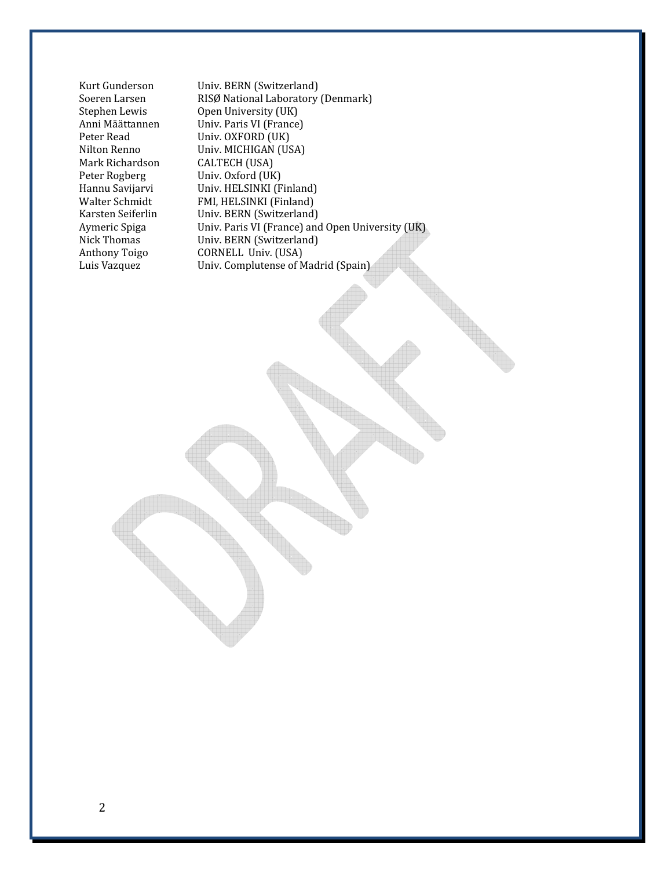Mark Richardson CALTECH (USA)<br>Peter Rogberg Univ. Oxford (UK

Kurt Gunderson Univ. BERN (Switzerland)<br>
Soeren Larsen RISØ National Laboratory Soeren Larsen RISØ National Laboratory (Denmark)<br>Stephen Lewis Open University (UK) Open University (UK) Anni Määttannen Univ. Paris VI (France) Peter Read Univ. OXFORD (UK) Nilton Renno Univ. MICHIGAN (USA)<br>Mark Richardson CALTECH (USA) Peter Rogberg Univ. Oxford (UK)<br>Hannu Savijarvi Univ. HELSINKI (F Hannu Savijarvi Univ. HELSINKI (Finland)<br>Walter Schmidt FMI, HELSINKI (Finland) FMI, HELSINKI (Finland) Karsten Seiferlin Univ. BERN (Switzerland) Aymeric Spiga Univ. Paris VI (France) and Open University (UK) Nick Thomas Univ. BERN (Switzerland)<br>Anthony Toigo CORNELL Univ. (USA) Anthony Toigo CORNELL Univ. (USA)<br>
Luis Vazquez Univ. Complutense of M Univ. Complutense of Madrid (Spain)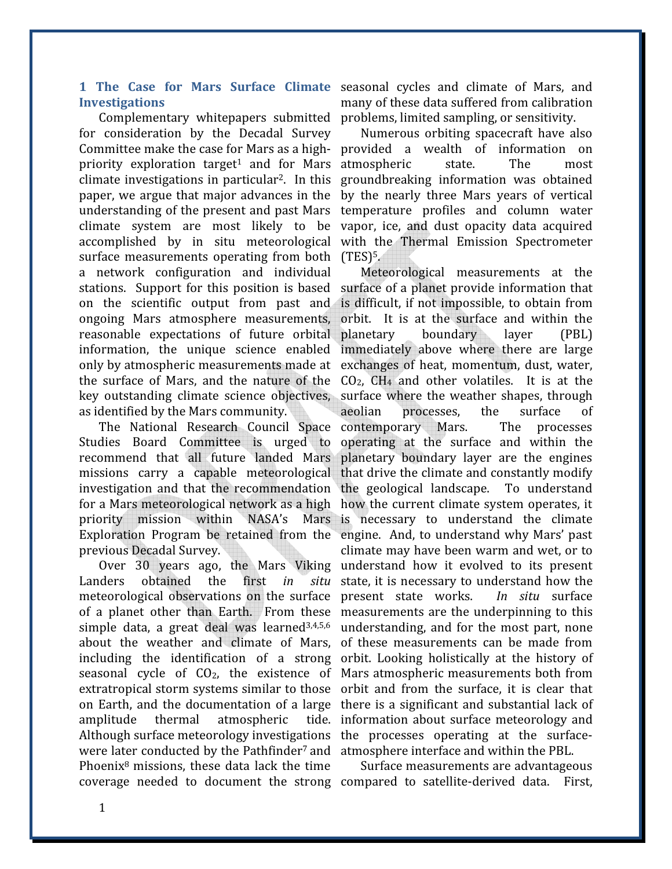# **Investigations**

for consideration by the Decadal Survey Committee make the case for Mars as a high-provided a wealth of information on priority exploration target<sup>1</sup> and for Mars climate investigations in particular2. In this paper, we argue that major advances in the understanding of the present and past Mars climate system are most likely to be accomplished by in situ meteorological with the Thermal Emission Spectrometer surface measurements operating from both (TES)<sup>5</sup>. a network configuration and individual stations. Support for this position is based surface of a planet provide information that on the scientific output from past and ongoing Mars atmosphere measurements, reasonable expectations of future orbital information, the unique science enabled only by atmospheric measurements made at exchanges of heat, momentum, dust, water, the surface of Mars, and the nature of the  $CO<sub>2</sub>$ , CH<sub>4</sub> and other volatiles. It is at the key outstanding climate science objectives, surface where the weather shapes, through as identified by the Mars community.

The National Research Council Space Studies Board Committee is urged to recommend that all future landed Mars missions carry a capable meteorological that drive the climate and constantly modify investigation and that the recommendation the geological landscape. To understand for a Mars meteorological network as a high priority mission within NASA's Mars Exploration Program be retained from the engine. And, to understand why Mars' past previous Decadal Survey.

Over 30 years ago, the Mars Viking Landers obtained the first in situ meteorological observations on the surface of a planet other than Earth. From these measurements are the underpinning to this simple data, a great deal was learned<sup>3,4,5,6</sup> about the weather and climate of Mars, including the identification of a strong seasonal cycle of  $CO<sub>2</sub>$ , the existence of Mars atmospheric measurements both from extratropical storm systems similar to those orbit and from the surface, it is clear that on Earth, and the documentation of a large there is a significant and substantial lack of amplitude thermal atmospheric Although surface meteorology investigations the processes operating at the surfacewere later conducted by the Pathfinder<sup>7</sup> and atmosphere interface and within the PBL. Phoenix8 missions, these data lack the time coverage needed to document the strong compared to satellite-derived data. First,

1 The Case for Mars Surface Climate seasonal cycles and climate of Mars, and Complementary whitepapers submitted problems, limited sampling, or sensitivity. many of these data suffered from calibration

Numerous orbiting spacecraft have also atmospheric state. The most groundbreaking information was obtained by the nearly three Mars years of vertical temperature profiles and column water vapor, ice, and dust opacity data acquired

Meteorological measurements at the is difficult, if not impossible, to obtain from orbit. It is at the surface and within the boundary layer (PBL) immediately above where there are large aeolian processes, the surface of contemporary Mars. The processes operating at the surface and within the planetary boundary layer are the engines how the current climate system operates, it is necessary to understand the climate climate may have been warm and wet, or to understand how it evolved to its present state, it is necessary to understand how the present state works. In situ surface understanding, and for the most part, none of these measurements can be made from orbit. Looking holistically at the history of information about surface meteorology and

Surface measurements are advantageous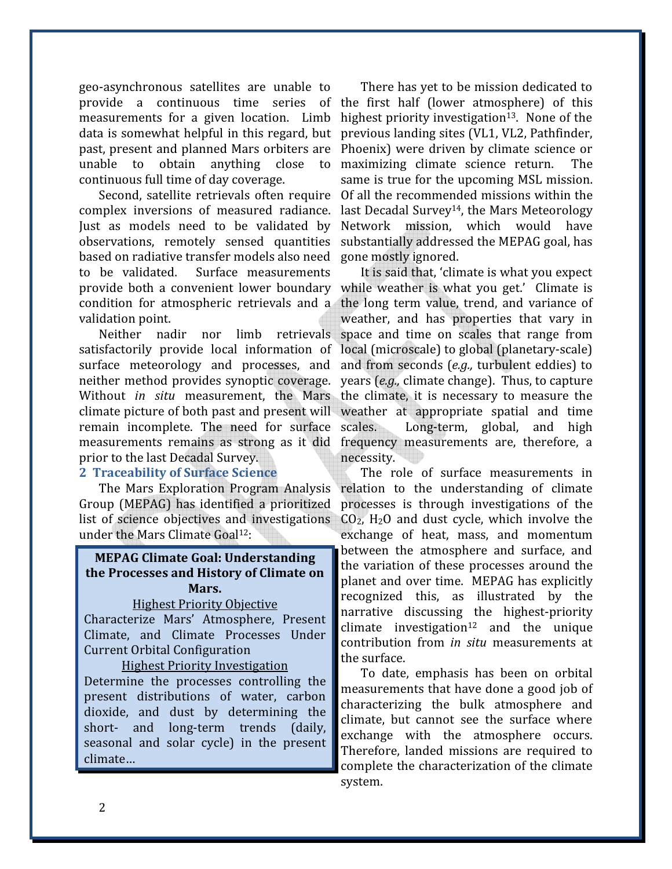geo-asynchronous satellites are unable to provide a continuous time series of the first half (lower atmosphere) of this measurements for a given location. Limb data is somewhat helpful in this regard, but past, present and planned Mars orbiters are unable to obtain anything close to continuous full time of day coverage.

Second, satellite retrievals often require complex inversions of measured radiance. Just as models need to be validated by observations, remotely sensed quantities based on radiative transfer models also need to be validated. Surface measurements provide both a convenient lower boundary while weather is what you get.' Climate is condition for atmospheric retrievals and a the long term value, trend, and variance of validation point.

Neither nadir nor limb retrievals satisfactorily provide local information of local (microscale) to global (planetary-scale) surface meteorology and processes, and and from seconds (e.g., turbulent eddies) to neither method provides synoptic coverage. years (e.g., climate change). Thus, to capture Without *in situ* measurement, the Mars the climate, it is necessary to measure the climate picture of both past and present will weather at appropriate spatial and time remain incomplete. The need for surface measurements remains as strong as it did frequency measurements are, therefore, a prior to the last Decadal Survey.

#### 2 Traceability of Surface Science

The Mars Exploration Program Analysis Group (MEPAG) has identified a prioritized list of science objectives and investigations under the Mars Climate Goal12:

# MEPAG Climate Goal: Understanding the Processes and History of Climate on Mars.

#### Highest Priority Objective

Characterize Mars' Atmosphere, Present Climate, and Climate Processes Under Current Orbital Configuration

#### Highest Priority Investigation

Determine the processes controlling the present distributions of water, carbon dioxide, and dust by determining the short- and long-term trends (daily, seasonal and solar cycle) in the present climate…

There has yet to be mission dedicated to highest priority investigation<sup>13</sup>. None of the previous landing sites (VL1, VL2, Pathfinder, Phoenix) were driven by climate science or maximizing climate science return. The same is true for the upcoming MSL mission. Of all the recommended missions within the last Decadal Survey<sup>14</sup>, the Mars Meteorology Network mission, which would have substantially addressed the MEPAG goal, has gone mostly ignored.

It is said that, 'climate is what you expect weather, and has properties that vary in space and time on scales that range from Long-term, global, and high necessity.

The role of surface measurements in relation to the understanding of climate processes is through investigations of the  $CO<sub>2</sub>$ , H<sub>2</sub>O and dust cycle, which involve the exchange of heat, mass, and momentum between the atmosphere and surface, and the variation of these processes around the planet and over time. MEPAG has explicitly recognized this, as illustrated by the narrative discussing the highest-priority climate investigation<sup>12</sup> and the unique contribution from in situ measurements at the surface.

To date, emphasis has been on orbital measurements that have done a good job of characterizing the bulk atmosphere and climate, but cannot see the surface where exchange with the atmosphere occurs. Therefore, landed missions are required to complete the characterization of the climate system.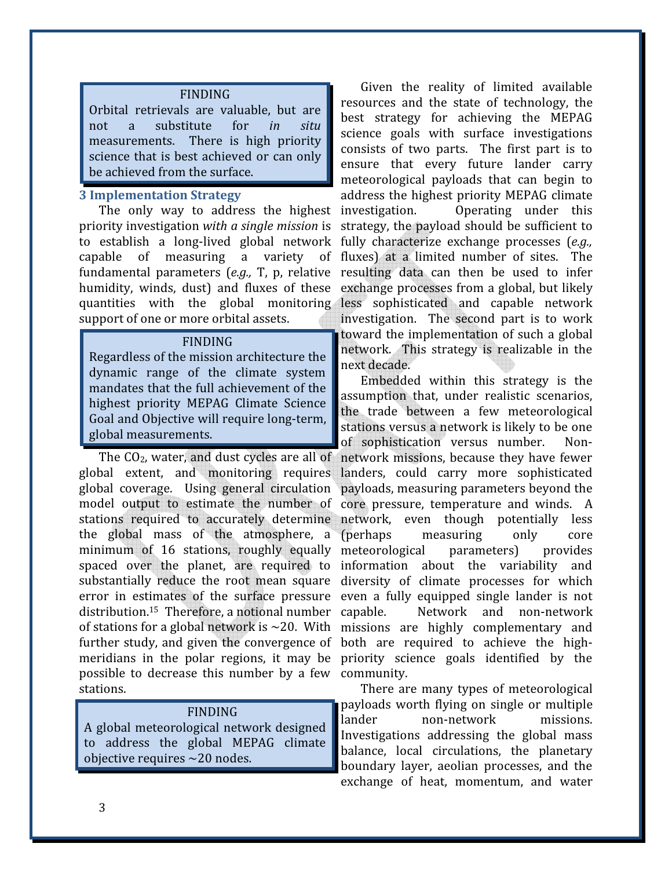#### FINDING

Orbital retrievals are valuable, but are not a substitute for in situ measurements. There is high priority science that is best achieved or can only be achieved from the surface.

### 3 Implementation Strategy

The only way to address the highest investigation. priority investigation with a single mission is strategy, the payload should be sufficient to to establish a long-lived global network fully characterize exchange processes (e.g., capable of measuring a variety of fundamental parameters  $(e.g., T, p,$  relative resulting data can then be used to infer humidity, winds, dust) and fluxes of these exchange processes from a global, but likely quantities with the global monitoring less sophisticated and capable network support of one or more orbital assets.

#### FINDING

Regardless of the mission architecture the dynamic range of the climate system mandates that the full achievement of the highest priority MEPAG Climate Science Goal and Objective will require long-term, global measurements.

The CO2, water, and dust cycles are all of global extent, and monitoring requires global coverage. Using general circulation model output to estimate the number of stations required to accurately determine the global mass of the atmosphere, a minimum of 16 stations, roughly equally spaced over the planet, are required to substantially reduce the root mean square error in estimates of the surface pressure even a fully equipped single lander is not distribution.<sup>15</sup> Therefore, a notional number capable. of stations for a global network is  $\sim$ 20. With further study, and given the convergence of both are required to achieve the highmeridians in the polar regions, it may be priority science goals identified by the possible to decrease this number by a few community. stations.

#### FINDING

A global meteorological network designed to address the global MEPAG climate objective requires ~20 nodes.

Given the reality of limited available resources and the state of technology, the best strategy for achieving the MEPAG science goals with surface investigations consists of two parts. The first part is to ensure that every future lander carry meteorological payloads that can begin to address the highest priority MEPAG climate Operating under this fluxes) at a limited number of sites. The investigation. The second part is to work toward the implementation of such a global network. This strategy is realizable in the next decade.

Embedded within this strategy is the assumption that, under realistic scenarios, the trade between a few meteorological stations versus a network is likely to be one of sophistication versus number. Nonnetwork missions, because they have fewer landers, could carry more sophisticated payloads, measuring parameters beyond the core pressure, temperature and winds. A network, even though potentially less (perhaps measuring only core meteorological parameters) provides information about the variability and diversity of climate processes for which Network and non-network missions are highly complementary and

There are many types of meteorological payloads worth flying on single or multiple lander non-network missions. Investigations addressing the global mass balance, local circulations, the planetary boundary layer, aeolian processes, and the exchange of heat, momentum, and water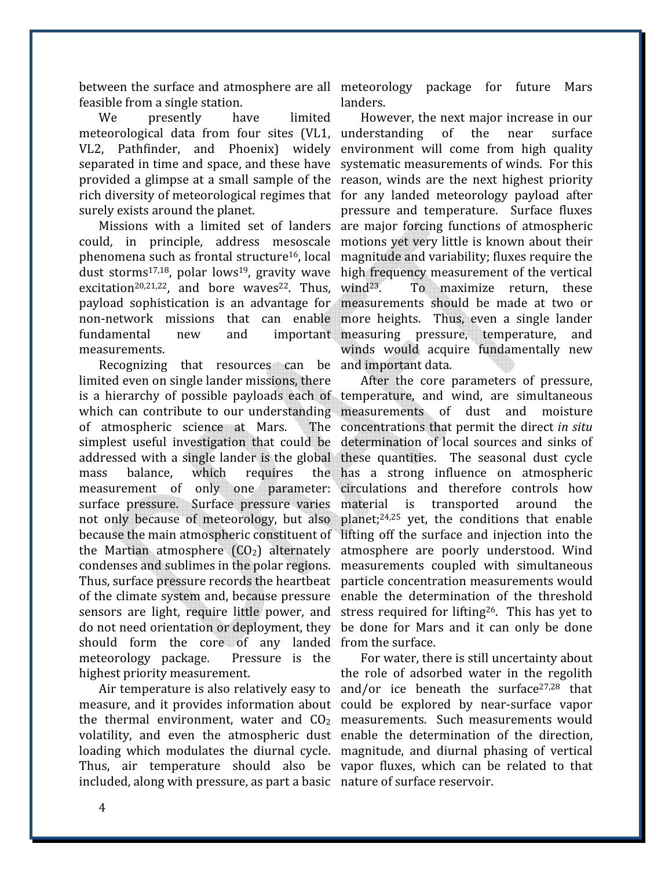feasible from a single station.

We presently have limited meteorological data from four sites (VL1, understanding of the near surface VL2, Pathfinder, and Phoenix) widely environment will come from high quality separated in time and space, and these have systematic measurements of winds. For this provided a glimpse at a small sample of the reason, winds are the next highest priority rich diversity of meteorological regimes that for any landed meteorology payload after surely exists around the planet.

could, in principle, address mesoscale motions yet very little is known about their phenomena such as frontal structure<sup>16</sup>, local magnitude and variability; fluxes require the dust storms<sup>17,18</sup>, polar lows<sup>19</sup>, gravity wave high frequency measurement of the vertical excitation<sup>20,21,22</sup>, and bore waves<sup>22</sup>. Thus, wind<sup>23</sup>. payload sophistication is an advantage for measurements should be made at two or non-network missions that can enable more heights. Thus, even a single lander fundamental new and important measuring pressure, temperature, and measurements.

Recognizing that resources can be and important data. limited even on single lander missions, there is a hierarchy of possible payloads each of temperature, and wind, are simultaneous which can contribute to our understanding measurements of dust and moisture of atmospheric science at Mars. simplest useful investigation that could be determination of local sources and sinks of addressed with a single lander is the global these quantities. The seasonal dust cycle mass balance, which requires measurement of only one parameter: circulations and therefore controls how surface pressure. Surface pressure varies material is transported around the not only because of meteorology, but also planet;<sup>24,25</sup> yet, the conditions that enable because the main atmospheric constituent of lifting off the surface and injection into the the Martian atmosphere (CO<sub>2</sub>) alternately atmosphere are poorly understood. Wind condenses and sublimes in the polar regions. measurements coupled with simultaneous Thus, surface pressure records the heartbeat particle concentration measurements would of the climate system and, because pressure enable the determination of the threshold sensors are light, require little power, and stress required for lifting<sup>26</sup>. This has yet to do not need orientation or deployment, they be done for Mars and it can only be done should form the core of any landed from the surface. meteorology package. Pressure is the highest priority measurement.

measure, and it provides information about could be explored by near-surface vapor the thermal environment, water and  $CO<sub>2</sub>$  measurements. Such measurements would volatility, and even the atmospheric dust enable the determination of the direction, loading which modulates the diurnal cycle. magnitude, and diurnal phasing of vertical Thus, air temperature should also be vapor fluxes, which can be related to that included, along with pressure, as part a basic nature of surface reservoir.

between the surface and atmosphere are all meteorology package for future Mars landers.

Missions with a limited set of landers are major forcing functions of atmospheric However, the next major increase in our pressure and temperature. Surface fluxes To maximize return, these winds would acquire fundamentally new

> After the core parameters of pressure, The concentrations that permit the direct in situ has a strong influence on atmospheric

Air temperature is also relatively easy to and/or ice beneath the surface<sup>27,28</sup> that For water, there is still uncertainty about the role of adsorbed water in the regolith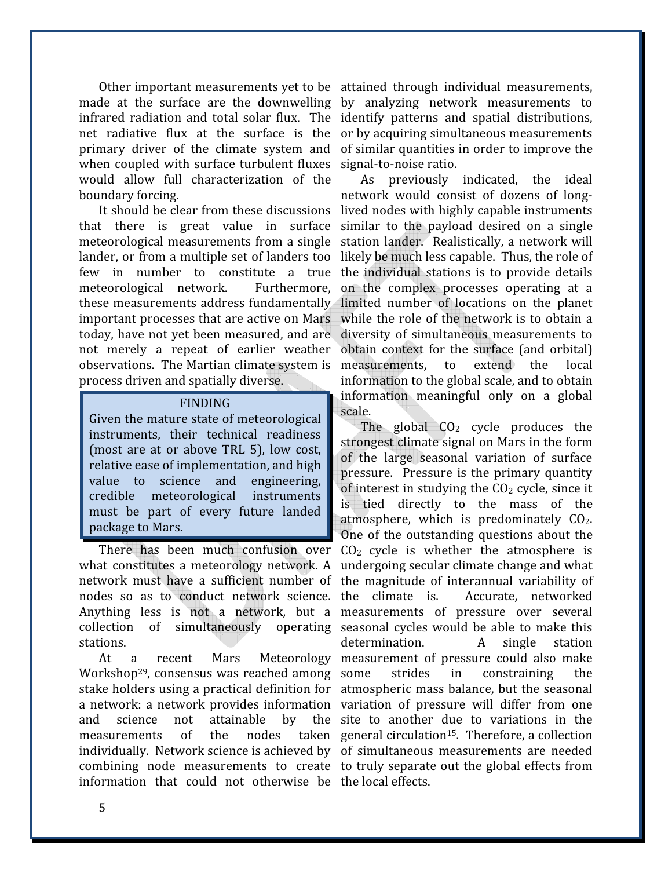Other important measurements yet to be attained through individual measurements, made at the surface are the downwelling by analyzing network measurements to infrared radiation and total solar flux. The identify patterns and spatial distributions, net radiative flux at the surface is the or by acquiring simultaneous measurements primary driver of the climate system and of similar quantities in order to improve the when coupled with surface turbulent fluxes signal-to-noise ratio. would allow full characterization of the boundary forcing.

that there is great value in surface similar to the payload desired on a single meteorological measurements from a single station lander. Realistically, a network will lander, or from a multiple set of landers too likely be much less capable. Thus, the role of few in number to constitute a true the individual stations is to provide details meteorological network. these measurements address fundamentally limited number of locations on the planet important processes that are active on Mars while the role of the network is to obtain a today, have not yet been measured, and are diversity of simultaneous measurements to not merely a repeat of earlier weather obtain context for the surface (and orbital) observations. The Martian climate system is measurements, to extend the local process driven and spatially diverse.

#### FINDING

Given the mature state of meteorological instruments, their technical readiness (most are at or above TRL 5), low cost, relative ease of implementation, and high value to science and engineering, credible meteorological instruments must be part of every future landed package to Mars.

nodes so as to conduct network science, the climate is, stations.

Workshop<sup>29</sup>, consensus was reached among some stake holders using a practical definition for atmospheric mass balance, but the seasonal a network: a network provides information variation of pressure will differ from one and science not attainable by measurements of the nodes individually. Network science is achieved by of simultaneous measurements are needed combining node measurements to create to truly separate out the global effects from information that could not otherwise be the local effects.

It should be clear from these discussions lived nodes with highly capable instruments As previously indicated, the ideal network would consist of dozens of long-Furthermore, on the complex processes operating at a information to the global scale, and to obtain information meaningful only on a global scale.

There has been much confusion over  $CO<sub>2</sub>$  cycle is whether the atmosphere is what constitutes a meteorology network. A undergoing secular climate change and what network must have a sufficient number of the magnitude of interannual variability of Anything less is not a network, but a measurements of pressure over several collection of simultaneously operating seasonal cycles would be able to make this At a recent Mars Meteorology measurement of pressure could also make The global  $CO<sub>2</sub>$  cycle produces the strongest climate signal on Mars in the form of the large seasonal variation of surface pressure. Pressure is the primary quantity of interest in studying the  $CO<sub>2</sub>$  cycle, since it is tied directly to the mass of the atmosphere, which is predominately CO<sub>2</sub>. One of the outstanding questions about the Accurate, networked determination. A single station strides in constraining the the site to another due to variations in the taken general circulation<sup>15</sup>. Therefore, a collection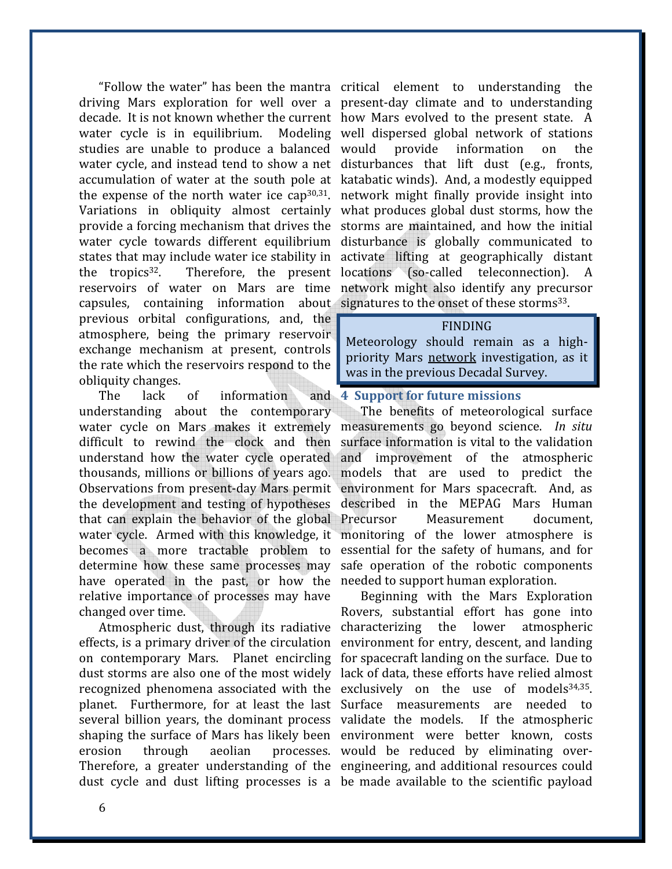driving Mars exploration for well over a present-day climate and to understanding decade. It is not known whether the current how Mars evolved to the present state. A water cycle is in equilibrium. Modeling well dispersed global network of stations studies are unable to produce a balanced water cycle, and instead tend to show a net disturbances that lift dust (e.g., fronts, accumulation of water at the south pole at katabatic winds). And, a modestly equipped the expense of the north water ice cap<sup>30,31</sup>. network might finally provide insight into Variations in obliquity almost certainly what produces global dust storms, how the provide a forcing mechanism that drives the storms are maintained, and how the initial water cycle towards different equilibrium disturbance is globally communicated to states that may include water ice stability in activate lifting at geographically distant the tropics<sup>32</sup>. Therefore, the present locations (so-called teleconnection). A reservoirs of water on Mars are time network might also identify any precursor capsules, containing information about signatures to the onset of these storms<sup>33</sup>. previous orbital configurations, and, the atmosphere, being the primary reservoir exchange mechanism at present, controls the rate which the reservoirs respond to the obliquity changes.

The lack of information understanding about the contemporary water cycle on Mars makes it extremely measurements go beyond science. In situ difficult to rewind the clock and then surface information is vital to the validation understand how the water cycle operated thousands, millions or billions of years ago. models that are used to predict the Observations from present-day Mars permit environment for Mars spacecraft. And, as the development and testing of hypotheses described in the MEPAG Mars Human that can explain the behavior of the global water cycle. Armed with this knowledge, it monitoring of the lower atmosphere is becomes a more tractable problem to essential for the safety of humans, and for determine how these same processes may safe operation of the robotic components have operated in the past, or how the needed to support human exploration. relative importance of processes may have changed over time.

effects, is a primary driver of the circulation environment for entry, descent, and landing on contemporary Mars. Planet encircling for spacecraft landing on the surface. Due to dust storms are also one of the most widely lack of data, these efforts have relied almost planet. Furthermore, for at least the last Surface measurements are needed to several billion years, the dominant process validate the models. If the atmospheric shaping the surface of Mars has likely been environment were better known, costs erosion through aeolian processes. would be reduced by eliminating over-Therefore, a greater understanding of the engineering, and additional resources could

"Follow the water" has been the mantra critical element to understanding the provide information on the

#### FINDING

Meteorology should remain as a highpriority Mars network investigation, as it was in the previous Decadal Survey.

#### 4 Support for future missions

The benefits of meteorological surface and improvement of the atmospheric Measurement document.

Atmospheric dust, through its radiative characterizing the lower atmospheric recognized phenomena associated with the exclusively on the use of models<sup>34,35</sup>. dust cycle and dust lifting processes is a be made available to the scientific payload Beginning with the Mars Exploration Rovers, substantial effort has gone into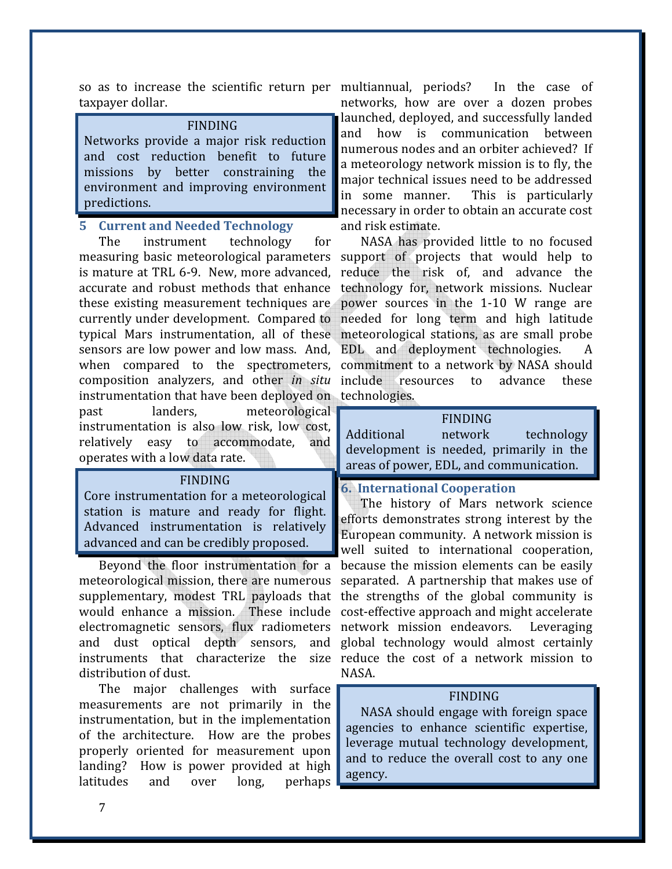so as to increase the scientific return per multiannual, periods? In the case of taxpayer dollar.

#### FINDING

Networks provide a major risk reduction and cost reduction benefit to future missions by better constraining the environment and improving environment predictions.

#### 5 Current and Needed Technology

The instrument technology for measuring basic meteorological parameters is mature at TRL 6-9. New, more advanced, accurate and robust methods that enhance these existing measurement techniques are currently under development. Compared to typical Mars instrumentation, all of these sensors are low power and low mass. And, when compared to the spectrometers, instrumentation that have been deployed on technologies. past landers, meteorological instrumentation is also low risk, low cost, relatively easy to accommodate, and operates with a low data rate.

#### FINDING

Core instrumentation for a meteorological station is mature and ready for flight. Advanced instrumentation is relatively advanced and can be credibly proposed.

Beyond the floor instrumentation for a meteorological mission, there are numerous supplementary, modest TRL payloads that would enhance a mission. These include electromagnetic sensors, flux radiometers and dust optical depth sensors, and distribution of dust.

The major challenges with surface measurements are not primarily in the instrumentation, but in the implementation of the architecture. How are the probes properly oriented for measurement upon landing? How is power provided at high latitudes and over long, perhaps

networks, how are over a dozen probes launched, deployed, and successfully landed and how is communication between numerous nodes and an orbiter achieved? If a meteorology network mission is to fly, the major technical issues need to be addressed in some manner. This is particularly necessary in order to obtain an accurate cost and risk estimate.

composition analyzers, and other in situ include resources to advance these NASA has provided little to no focused support of projects that would help to reduce the risk of, and advance the technology for, network missions. Nuclear power sources in the 1-10 W range are needed for long term and high latitude meteorological stations, as are small probe EDL and deployment technologies. commitment to a network by NASA should

## FINDING

Additional network technology development is needed, primarily in the areas of power, EDL, and communication.

# 6. International Cooperation

instruments that characterize the size reduce the cost of a network mission to The history of Mars network science efforts demonstrates strong interest by the European community. A network mission is well suited to international cooperation, because the mission elements can be easily separated. A partnership that makes use of the strengths of the global community is cost-effective approach and might accelerate network mission endeavors. Leveraging global technology would almost certainly NASA.

#### FINDING

NASA should engage with foreign space agencies to enhance scientific expertise, leverage mutual technology development, and to reduce the overall cost to any one agency.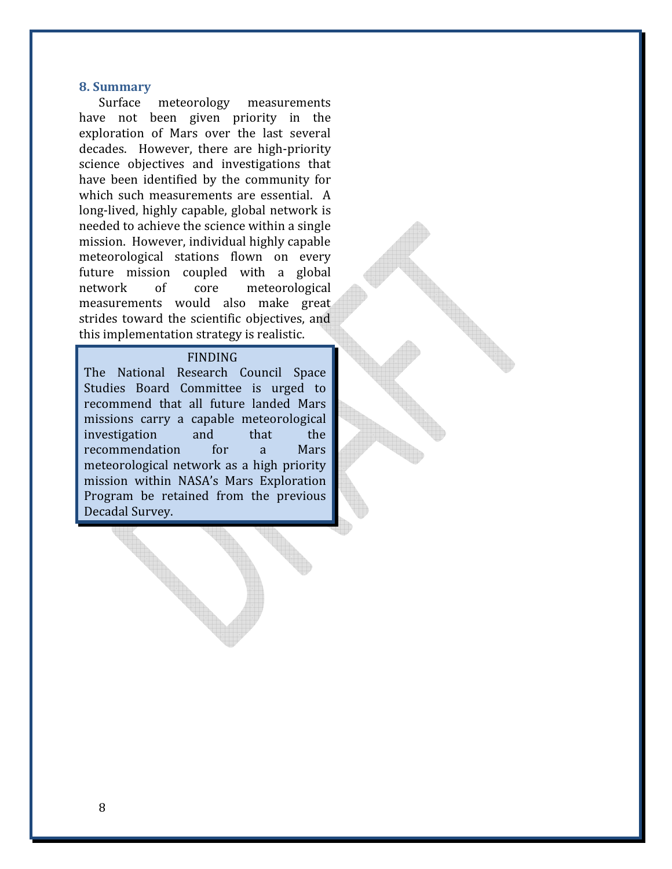#### 8. Summary

Surface meteorology measurements have not been given priority in the exploration of Mars over the last several decades. However, there are high-priority science objectives and investigations that have been identified by the community for which such measurements are essential. A long-lived, highly capable, global network is needed to achieve the science within a single mission. However, individual highly capable meteorological stations flown on every future mission coupled with a global network of core meteorological measurements would also make great strides toward the scientific objectives, and this implementation strategy is realistic.

#### FINDING

The National Research Council Space Studies Board Committee is urged to recommend that all future landed Mars missions carry a capable meteorological investigation and that the recommendation for a Mars meteorological network as a high priority mission within NASA's Mars Exploration Program be retained from the previous Decadal Survey.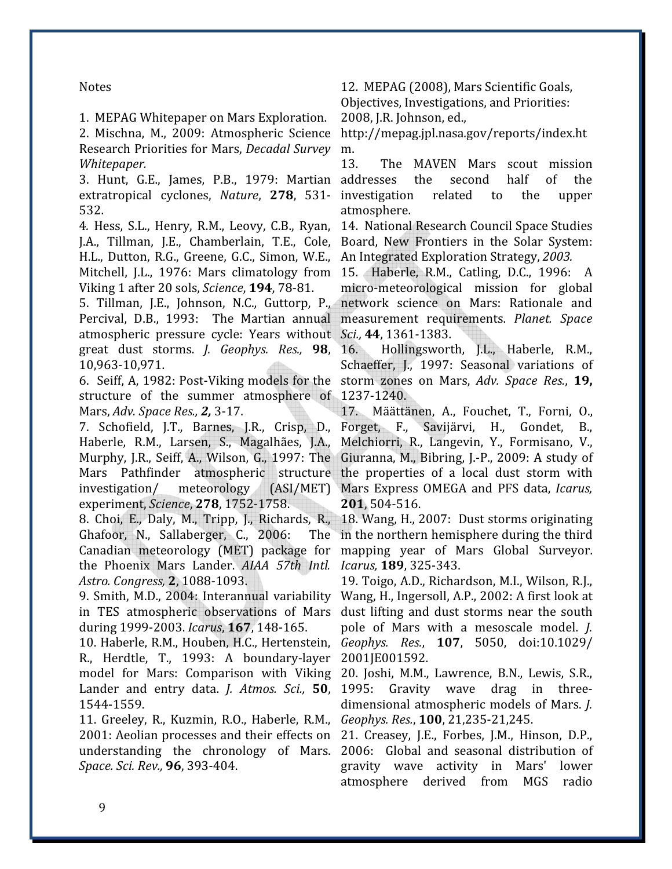Notes

1. MEPAG Whitepaper on Mars Exploration.

2. Mischna, M., 2009: Atmospheric Science Research Priorities for Mars, Decadal Survey Whitepaper.

3. Hunt, G.E., James, P.B., 1979: Martian addresses the second half of the extratropical cyclones, Nature, 278, 531- investigation related to the upper 532.

J.A., Tillman, J.E., Chamberlain, T.E., Cole, Board, New Frontiers in the Solar System: H.L., Dutton, R.G., Greene, G.C., Simon, W.E., An Integrated Exploration Strategy, 2003. Mitchell, J.L., 1976: Mars climatology from 15. Haberle, R.M., Catling, D.C., 1996: A Viking 1 after 20 sols, Science, 194, 78-81.

5. Tillman, J.E., Johnson, N.C., Guttorp, P., Percival, D.B., 1993: The Martian annual atmospheric pressure cycle: Years without Sci., 44, 1361-1383. great dust storms. *J. Geophys. Res.*, 98, 16. 10,963-10,971.

6. Seiff, A, 1982: Post-Viking models for the storm zones on Mars, Adv. Space Res., 19, structure of the summer atmosphere of 1237-1240. Mars, Adv. Space Res., 2, 3-17.

7. Schofield, J.T., Barnes, J.R., Crisp, D., Haberle, R.M., Larsen, S., Magalhães, J.A., Murphy, J.R., Seiff, A., Wilson, G., 1997: The Mars Pathfinder atmospheric structure the properties of a local dust storm with investigation/ meteorology experiment, Science, 278, 1752-1758.

8. Choi, E., Daly, M., Tripp, J., Richards, R., Ghafoor, N., Sallaberger, C., 2006: The Canadian meteorology (MET) package for the Phoenix Mars Lander. AIAA 57th Intl. Icarus, 189, 325-343. Astro. Congress, 2, 1088-1093.

9. Smith, M.D., 2004: Interannual variability Wang, H., Ingersoll, A.P., 2002: A first look at in TES atmospheric observations of Mars during 1999-2003. Icarus, 167, 148-165.

10. Haberle, R.M., Houben, H.C., Hertenstein, R., Herdtle, T., 1993: A boundary-layer model for Mars: Comparison with Viking Lander and entry data. J. Atmos. Sci., 50, 1544-1559.

11. Greeley, R., Kuzmin, R.O., Haberle, R.M., Geophys. Res., 100, 21,235-21,245. 2001: Aeolian processes and their effects on 21. Creasey, J.E., Forbes, J.M., Hinson, D.P., understanding the chronology of Mars. 2006: Global and seasonal distribution of Space. Sci. Rev., 96, 393-404.

12. MEPAG (2008), Mars Scientific Goals, Objectives, Investigations, and Priorities: 2008, J.R. Johnson, ed.,

http://mepag.jpl.nasa.gov/reports/index.ht m.

13. The MAVEN Mars scout mission atmosphere.

4. Hess, S.L., Henry, R.M., Leovy, C.B., Ryan, 14. National Research Council Space Studies

micro-meteorological mission for global network science on Mars: Rationale and measurement requirements. Planet. Space

16. Hollingsworth, J.L., Haberle, R.M., Schaeffer, J., 1997: Seasonal variations of

17. Määttänen, A., Fouchet, T., Forni, O., Forget, F., Savijärvi, H., Gondet, B., Melchiorri, R., Langevin, Y., Formisano, V., Giuranna, M., Bibring, J.-P., 2009: A study of (ASI/MET) Mars Express OMEGA and PFS data, Icarus, 201, 504-516.

> 18. Wang, H., 2007: Dust storms originating in the northern hemisphere during the third mapping year of Mars Global Surveyor.

19. Toigo, A.D., Richardson, M.I., Wilson, R.J., dust lifting and dust storms near the south pole of Mars with a mesoscale model. J. Geophys. Res., 107, 5050, doi:10.1029/ 2001JE001592.

20. Joshi, M.M., Lawrence, B.N., Lewis, S.R., 1995: Gravity wave drag in threedimensional atmospheric models of Mars. J.

gravity wave activity in Mars' lower atmosphere derived from MGS radio